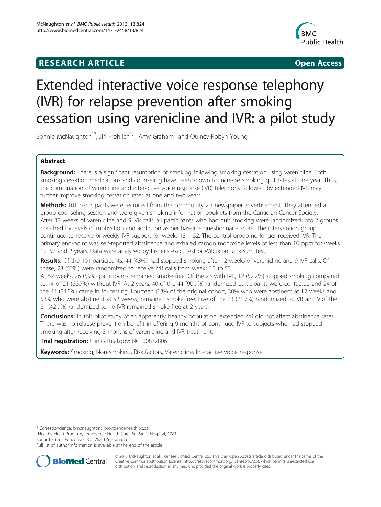# **RESEARCH ARTICLE CONSUMING A RESEARCH ARTICLE**



# Extended interactive voice response telephony (IVR) for relapse prevention after smoking cessation using varenicline and IVR: a pilot study

Bonnie McNaughton<sup>1\*</sup>, Jiri Frohlich<sup>1,2</sup>, Amy Graham<sup>1</sup> and Quincy-Robyn Young<sup>1</sup>

# Abstract

Background: There is a significant resumption of smoking following smoking cessation using varenicline. Both smoking cessation medications and counseling have been shown to increase smoking quit rates at one year. Thus, the combination of varenicline and interactive voice response (IVR) telephony followed by extended IVR may further improve smoking cessation rates at one and two years.

Methods: 101 participants were recruited from the community via newspaper advertisement. They attended a group counseling session and were given smoking information booklets from the Canadian Cancer Society. After 12 weeks of varenicline and 9 IVR calls, all participants who had quit smoking were randomized into 2 groups matched by levels of motivation and addiction as per baseline questionnaire score. The intervention group continued to receive bi-weekly IVR support for weeks 13 – 52. The control group no longer received IVR. The primary end-point was self-reported abstinence and exhaled carbon monoxide levels of less than 10 ppm for weeks 12, 52 and 2 years. Data were analyzed by Fisher's exact test or Wilcoxon rank-sum test.

Results: Of the 101 participants, 44 (43%) had stopped smoking after 12 weeks of varenicline and 9 IVR calls. Of these, 23 (52%) were randomized to receive IVR calls from weeks 13 to 52.

At 52 weeks, 26 (59%) participants remained smoke-free. Of the 23 with IVR, 12 (52.2%) stopped smoking compared to 14 of 21 (66.7%) without IVR. At 2 years, 40 of the 44 (90.9%) randomized participants were contacted and 24 of the 44 (54.5%) came in for testing. Fourteen (13% of the original cohort, 30% who were abstinent at 12 weeks and 53% who were abstinent at 52 weeks) remained smoke-free. Five of the 23 (21.7%) randomized to IVR and 9 of the 21 (42.9%) randomized to no IVR remained smoke-free at 2 years.

Conclusions: In this pilot study of an apparently healthy population, extended IVR did not affect abstinence rates. There was no relapse prevention benefit in offering 9 months of continued IVR to subjects who had stopped smoking after receiving 3 months of varenicline and IVR treatment.

Trial registration: ClinicalTrial.gov: [NCT00832806](http://clinicaltrials.gov/show/NCT00832806)

Keywords: Smoking, Non-smoking, Risk factors, Varenicline, Interactive voice response

<sup>1</sup>Healthy Heart Program, Providence Health Care, St. Paul's Hospital, 1081 Burrard Street, Vancouver B.C. V6Z 1Y6, Canada

Full list of author information is available at the end of the article



© 2013 McNaughton et al.; licensee BioMed Central Ltd. This is an Open Access article distributed under the terms of the Creative Commons Attribution License (<http://creativecommons.org/licenses/by/2.0>), which permits unrestricted use, distribution, and reproduction in any medium, provided the original work is properly cited.

<sup>\*</sup> Correspondence: [bmcnaughton@providencehealth.bc.ca](mailto:bmcnaughton@providencehealth.bc.ca) <sup>1</sup>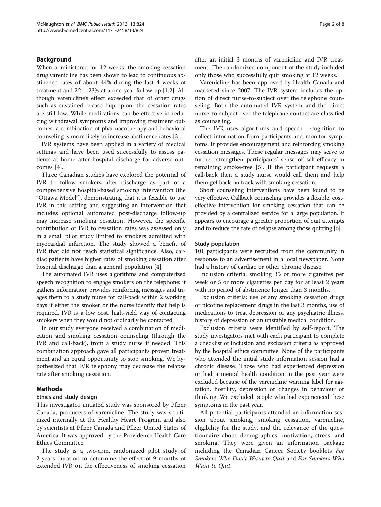# Background

When administered for 12 weeks, the smoking cessation drug varenicline has been shown to lead to continuous abstinence rates of about 44% during the last 4 weeks of treatment and  $22 - 23\%$  at a one-year follow-up [[1,2](#page-6-0)]. Although varenicline's effect exceeded that of other drugs such as sustained-release bupropion, the cessation rates are still low. While medications can be effective in reducing withdrawal symptoms and improving treatment outcomes, a combination of pharmacotherapy and behavioral counseling is more likely to increase abstinence rates [\[3](#page-6-0)].

IVR systems have been applied in a variety of medical settings and have been used successfully to assess patients at home after hospital discharge for adverse outcomes [[4\]](#page-6-0).

Three Canadian studies have explored the potential of IVR to follow smokers after discharge as part of a comprehensive hospital-based smoking intervention (the "Ottawa Model"), demonstrating that it is feasible to use IVR in this setting and suggesting an intervention that includes optional automated post-discharge follow-up may increase smoking cessation. However, the specific contribution of IVR to cessation rates was assessed only in a small pilot study limited to smokers admitted with myocardial infarction. The study showed a benefit of IVR that did not reach statistical significance. Also, cardiac patients have higher rates of smoking cessation after hospital discharge than a general population [\[4](#page-6-0)].

The automated IVR uses algorithms and computerized speech recognition to engage smokers on the telephone: it gathers information; provides reinforcing messages and triages them to a study nurse for call-back within 2 working days if either the smoker or the nurse identify that help is required. IVR is a low cost, high-yield way of contacting smokers when they would not ordinarily be contacted.

In our study everyone received a combination of medication and smoking cessation counseling (through the IVR and call-back), from a study nurse if needed. This combination approach gave all participants proven treatment and an equal opportunity to stop smoking. We hypothesized that IVR telephony may decrease the relapse rate after smoking cessation.

## Methods

#### Ethics and study design

This investigator initiated study was sponsored by Pfizer Canada, producers of varenicline. The study was scrutinized internally at the Healthy Heart Program and also by scientists at Pfizer Canada and Pfizer United States of America. It was approved by the Providence Health Care Ethics Committee.

The study is a two-arm, randomized pilot study of 2 years duration to determine the effect of 9 months of extended IVR on the effectiveness of smoking cessation after an initial 3 months of varenicline and IVR treatment. The randomized component of the study included only those who successfully quit smoking at 12 weeks.

Varenicline has been approved by Health Canada and marketed since 2007. The IVR system includes the option of direct nurse-to-subject over the telephone counseling. Both the automated IVR system and the direct nurse-to-subject over the telephone contact are classified as counseling.

The IVR uses algorithms and speech recognition to collect information from participants and monitor symptoms. It provides encouragement and reinforcing smoking cessation messages. These regular messages may serve to further strengthen participants' sense of self-efficacy in remaining smoke-free [\[5](#page-6-0)]. If the participant requests a call-back then a study nurse would call them and help them get back on track with smoking cessation.

Short counseling interventions have been found to be very effective. Callback counseling provides a flexible, costeffective intervention for smoking cessation that can be provided by a centralized service for a large population. It appears to encourage a greater proportion of quit attempts and to reduce the rate of relapse among those quitting [[6\]](#page-6-0).

#### Study population

101 participants were recruited from the community in response to an advertisement in a local newspaper. None had a history of cardiac or other chronic disease.

Inclusion criteria: smoking 35 or more cigarettes per week or 5 or more cigarettes per day for at least 2 years with no period of abstinence longer than 3 months.

Exclusion criteria: use of any smoking cessation drugs or nicotine replacement drugs in the last 3 months, use of medications to treat depression or any psychiatric illness, history of depression or an unstable medical condition.

Exclusion criteria were identified by self-report. The study investigators met with each participant to complete a checklist of inclusion and exclusion criteria as approved by the hospital ethics committee. None of the participants who attended the initial study information session had a chronic disease. Those who had experienced depression or had a mental health condition in the past year were excluded because of the varenicline warning label for agitation, hostility, depression or changes in behaviour or thinking. We excluded people who had experienced these symptoms in the past year.

All potential participants attended an information session about smoking, smoking cessation, varenicline, eligibility for the study, and the relevance of the questionnaire about demographics, motivation, stress, and smoking. They were given an information package including the Canadian Cancer Society booklets For Smokers Who Don't Want to Quit and For Smokers Who Want to Quit.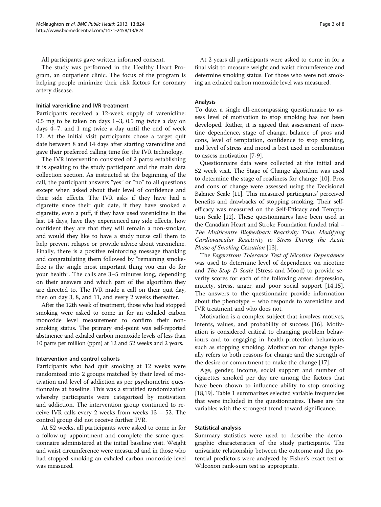All participants gave written informed consent.

The study was performed in the Healthy Heart Program, an outpatient clinic. The focus of the program is helping people minimize their risk factors for coronary artery disease.

#### Initial varenicline and IVR treatment

Participants received a 12-week supply of varenicline: 0.5 mg to be taken on days 1–3, 0.5 mg twice a day on days 4–7, and 1 mg twice a day until the end of week 12. At the initial visit participants chose a target quit date between 8 and 14 days after starting varenicline and gave their preferred calling time for the IVR technology.

The IVR intervention consisted of 2 parts: establishing it is speaking to the study participant and the main data collection section. As instructed at the beginning of the call, the participant answers "yes" or "no" to all questions except when asked about their level of confidence and their side effects. The IVR asks if they have had a cigarette since their quit date, if they have smoked a cigarette, even a puff, if they have used varenicline in the last 14 days, have they experienced any side effects, how confident they are that they will remain a non-smoker, and would they like to have a study nurse call them to help prevent relapse or provide advice about varenicline. Finally, there is a positive reinforcing message thanking and congratulating them followed by "remaining smokefree is the single most important thing you can do for your health". The calls are 3–5 minutes long, depending on their answers and which part of the algorithm they are directed to. The IVR made a call on their quit day, then on day 3, 8, and 11, and every 2 weeks thereafter.

After the 12th week of treatment, those who had stopped smoking were asked to come in for an exhaled carbon monoxide level measurement to confirm their nonsmoking status. The primary end-point was self-reported abstinence and exhaled carbon monoxide levels of less than 10 parts per million (ppm) at 12 and 52 weeks and 2 years.

# Intervention and control cohorts

Participants who had quit smoking at 12 weeks were randomized into 2 groups matched by their level of motivation and level of addiction as per psychometric questionnaire at baseline. This was a stratified randomization whereby participants were categorized by motivation and addiction. The intervention group continued to receive IVR calls every 2 weeks from weeks 13 – 52. The control group did not receive further IVR.

At 52 weeks, all participants were asked to come in for a follow-up appointment and complete the same questionnaire administered at the initial baseline visit. Weight and waist circumference were measured and in those who had stopped smoking an exhaled carbon monoxide level was measured.

At 2 years all participants were asked to come in for a final visit to measure weight and waist circumference and determine smoking status. For those who were not smoking an exhaled carbon monoxide level was measured.

#### Analysis

To date, a single all-encompassing questionnaire to assess level of motivation to stop smoking has not been developed. Rather, it is agreed that assessment of nicotine dependence, stage of change, balance of pros and cons, level of temptation, confidence to stop smoking, and level of stress and mood is best used in combination to assess motivation [\[7](#page-6-0)-[9\]](#page-6-0).

Questionnaire data were collected at the initial and 52 week visit. The Stage of Change algorithm was used to determine the stage of readiness for change [\[10\]](#page-7-0). Pros and cons of change were assessed using the Decisional Balance Scale [\[11\]](#page-7-0). This measured participants' perceived benefits and drawbacks of stopping smoking. Their selfefficacy was measured on the Self-Efficacy and Temptation Scale [[12](#page-7-0)]. These questionnaires have been used in the Canadian Heart and Stroke Foundation funded trial – The Multicentre Biofeedback Reactivity Trial: Modifying Cardiovascular Reactivity to Stress During the Acute Phase of Smoking Cessation [[13\]](#page-7-0).

The Fagerstrom Tolerance Test of Nicotine Dependence was used to determine level of dependence on nicotine and The Stop D Scale (Stress and Mood) to provide severity scores for each of the following areas: depression, anxiety, stress, anger, and poor social support [\[14,15](#page-7-0)]. The answers to the questionnaire provide information about the phenotype – who responds to varenicline and IVR treatment and who does not.

Motivation is a complex subject that involves motives, intents, values, and probability of success [[16](#page-7-0)]. Motivation is considered critical to changing problem behaviours and to engaging in health-protection behaviours such as stopping smoking. Motivation for change typically refers to both reasons for change and the strength of the desire or commitment to make the change [[17](#page-7-0)].

Age, gender, income, social support and number of cigarettes smoked per day are among the factors that have been shown to influence ability to stop smoking [[18,19\]](#page-7-0). Table [1](#page-3-0) summarizes selected variable frequencies that were included in the questionnaires. These are the variables with the strongest trend toward significance.

#### Statistical analysis

Summary statistics were used to describe the demographic characteristics of the study participants. The univariate relationship between the outcome and the potential predictors were analyzed by Fisher's exact test or Wilcoxon rank-sum test as appropriate.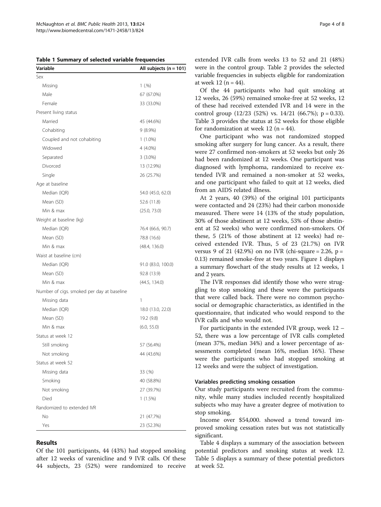<span id="page-3-0"></span>Table 1 Summary of selected variable frequencies

| Variable                                   | All subjects $(n = 101)$ |
|--------------------------------------------|--------------------------|
| Sex                                        |                          |
| Missing                                    | 1(.%)                    |
| Male                                       | 67 (67.0%)               |
| Female                                     | 33 (33.0%)               |
| Present living status                      |                          |
| Married                                    | 45 (44.6%)               |
| Cohabiting                                 | $9(8.9\%)$               |
| Coupled and not cohabiting                 | $1(1.0\%)$               |
| Widowed                                    | 4 (4.0%)                 |
| Separated                                  | $3(3.0\%)$               |
| Divorced                                   | 13 (12.9%)               |
| Single                                     | 26 (25.7%)               |
| Age at baseline                            |                          |
| Median (IQR)                               | 54.0 (45.0, 62.0)        |
| Mean (SD)                                  | 52.6 (11.8)              |
| Min & max                                  | (25.0, 73.0)             |
| Weight at baseline (kg)                    |                          |
| Median (IQR)                               | 76.4 (66.6, 90.7)        |
| Mean (SD)                                  | 78.8 (16.6)              |
| Min & max                                  | (48.4, 136.0)            |
| Waist at baseline (cm)                     |                          |
| Median (IQR)                               | 91.0 (83.0, 100.0)       |
| Mean (SD)                                  | 92.8 (13.9)              |
| Min & max                                  | (44.5, 134.0)            |
| Number of cigs. smoked per day at baseline |                          |
| Missing data                               | 1                        |
| Median (IQR)                               | 18.0 (13.0, 22.0)        |
| Mean (SD)                                  | 19.2 (9.8)               |
| Min & max                                  | (6.0, 55.0)              |
| Status at week 12                          |                          |
| Still smoking                              | 57 (56.4%)               |
| Not smoking                                | 44 (43.6%)               |
| Status at week 52                          |                          |
| Missing data                               | 33 (.%)                  |
| Smoking                                    | 40 (58.8%)               |
| Not smoking                                | 27 (39.7%)               |
| Died                                       | $1(1.5\%)$               |
| Randomized to extended IVR                 |                          |
| No                                         | 21 (47.7%)               |
| Yes                                        | 23 (52.3%)               |

# Results

Of the 101 participants, 44 (43%) had stopped smoking after 12 weeks of varenicline and 9 IVR calls. Of these 44 subjects, 23 (52%) were randomized to receive

Of the 44 participants who had quit smoking at 12 weeks, 26 (59%) remained smoke-free at 52 weeks, 12 of these had received extended IVR and 14 were in the control group  $(12/23 \ (52\%)$  vs.  $14/21 \ (66.7\%)$ ; p = 0.33). Table [3](#page-4-0) provides the status at 52 weeks for those eligible for randomization at week 12 ( $n = 44$ ).

One participant who was not randomized stopped smoking after surgery for lung cancer. As a result, there were 27 confirmed non-smokers at 52 weeks but only 26 had been randomized at 12 weeks. One participant was diagnosed with lymphoma, randomized to receive extended IVR and remained a non-smoker at 52 weeks, and one participant who failed to quit at 12 weeks, died from an AIDS related illness.

At 2 years, 40 (39%) of the original 101 participants were contacted and 24 (23%) had their carbon monoxide measured. There were 14 (13% of the study population, 30% of those abstinent at 12 weeks, 53% of those abstinent at 52 weeks) who were confirmed non-smokers. Of these, 5 (21% of those abstinent at 12 weeks) had received extended IVR. Thus, 5 of 23 (21.7%) on IVR versus 9 of 21 (42.9%) on no IVR (chi-square = 2.26,  $p =$ 0.13) remained smoke-free at two years. Figure [1](#page-4-0) displays a summary flowchart of the study results at 12 weeks, 1 and 2 years.

The IVR responses did identify those who were struggling to stop smoking and these were the participants that were called back. There were no common psychosocial or demographic characteristics, as identified in the questionnaire, that indicated who would respond to the IVR calls and who would not.

For participants in the extended IVR group, week 12 – 52, there was a low percentage of IVR calls completed (mean 37%, median 34%) and a lower percentage of assessments completed (mean 16%, median 16%). These were the participants who had stopped smoking at 12 weeks and were the subject of investigation.

#### Variables predicting smoking cessation

Our study participants were recruited from the community, while many studies included recently hospitalized subjects who may have a greater degree of motivation to stop smoking.

Income over \$54,000. showed a trend toward improved smoking cessation rates but was not statistically significant.

Table [4](#page-5-0) displays a summary of the association between potential predictors and smoking status at week 12. Table [5](#page-5-0) displays a summary of these potential predictors at week 52.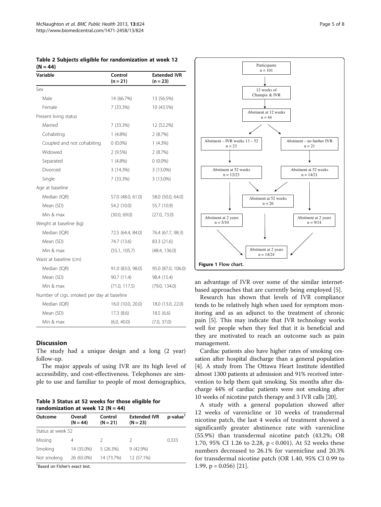| Variable                                   | Control<br>$(n = 21)$ | <b>Extended IVR</b><br>$(n = 23)$ |
|--------------------------------------------|-----------------------|-----------------------------------|
| Sex                                        |                       |                                   |
| Male                                       | 14 (66.7%)            | 13 (56.5%)                        |
| Female                                     | 7 (33.3%)             | 10 (43.5%)                        |
| Present living status                      |                       |                                   |
| Married                                    | 7 (33.3%)             | 12 (52.2%)                        |
| Cohabiting                                 | $1(4.8\%)$            | 2(8.7%)                           |
| Coupled and not cohabiting                 | $0(0.0\%)$            | $1(4.3\%)$                        |
| Widowed                                    | $2(9.5\%)$            | 2(8.7%)                           |
| Separated                                  | $1(4.8\%)$            | $0(0.0\%)$                        |
| Divorced                                   | 3(14.3%)              | 3 (13.0%)                         |
| Single                                     | 7 (33.3%)             | 3 (13.0%)                         |
| Age at baseline                            |                       |                                   |
| Median (IQR)                               | 57.0 (48.0, 61.0)     | 58.0 (50.0, 64.0)                 |
| Mean (SD)                                  | 54.2 (10.0)           | 55.7 (10.9)                       |
| Min & max                                  | (30.0, 69.0)          | (27.0, 73.0)                      |
| Weight at baseline (kg)                    |                       |                                   |
| Median (IQR)                               | 72.5 (64.4, 84.0)     | 76.4 (67.7, 98.3)                 |
| Mean (SD)                                  | 74.7 (13.6)           | 83.3 (21.6)                       |
| Min & max                                  | (55.1, 105.7)         | (48.4, 136.0)                     |
| Waist at baseline (cm)                     |                       |                                   |
| Median (IQR)                               | 91.0 (83.0, 98.0)     | 95.0 (87.0, 106.0)                |
| Mean (SD)                                  | 90.7 (11.4)           | 98.4 (15.4)                       |
| Min & max                                  | (71.0, 117.5)         | (79.0, 134.0)                     |
| Number of cigs. smoked per day at baseline |                       |                                   |
| Median (IQR)                               | 16.0 (10.0, 20.0)     | 18.0 (13.0, 22.0)                 |
| Mean (SD)                                  | 17.3(8.6)             | 18.5(6.6)                         |
| Min & max                                  | (6.0, 40.0)           | (7.0, 37.0)                       |

<span id="page-4-0"></span>Table 2 Subjects eligible for randomization at week 12  $(N = 44)$ 

#### **Discussion**

The study had a unique design and a long (2 year) follow-up.

The major appeals of using IVR are its high level of accessibility, and cost-effectiveness. Telephones are simple to use and familiar to people of most demographics,

Table 3 Status at 52 weeks for those eligible for randomization at week 12 ( $N = 44$ )

| Outcome           | Overall<br>$(N = 44)$ | Control<br>$(N = 21)$ | <b>Extended IVR</b><br>$(N = 23)$ | p-value <sup>1</sup> |
|-------------------|-----------------------|-----------------------|-----------------------------------|----------------------|
| Status at week 52 |                       |                       |                                   |                      |
| Missing           | 4                     |                       | 2                                 | 0.333                |
| Smoking           | 14 (35.0%)            | 5(26.3%)              | $9(42.9\%)$                       |                      |
| Not smoking       | 26 (65.0%)            | 14 (73.7%)            | 12 (57.1%)                        |                      |

<sup>1</sup> Based on Fisher's exact test.



an advantage of IVR over some of the similar internetbased approaches that are currently being employed [[5\]](#page-6-0).

Research has shown that levels of IVR compliance tends to be relatively high when used for symptom monitoring and as an adjunct to the treatment of chronic pain [[5\]](#page-6-0). This may indicate that IVR technology works well for people when they feel that it is beneficial and they are motivated to reach an outcome such as pain management.

Cardiac patients also have higher rates of smoking cessation after hospital discharge than a general population [[4\]](#page-6-0). A study from The Ottawa Heart Institute identified almost 1300 patients at admission and 91% received intervention to help them quit smoking. Six months after discharge 44% of cardiac patients were not smoking after 10 weeks of nicotine patch therapy and 3 IVR calls [[20](#page-7-0)].

A study with a general population showed after 12 weeks of varenicline or 10 weeks of transdermal nicotine patch, the last 4 weeks of treatment showed a significantly greater abstinence rate with varenicline (55.9%) than transdermal nicotine patch (43.2%; OR 1.70, 95% CI 1.26 to 2.28, p < 0.001). At 52 weeks these numbers decreased to 26.1% for varenicline and 20.3% for transdermal nicotine patch (OR 1.40, 95% CI 0.99 to 1.99, p = 0.056) [\[21](#page-7-0)].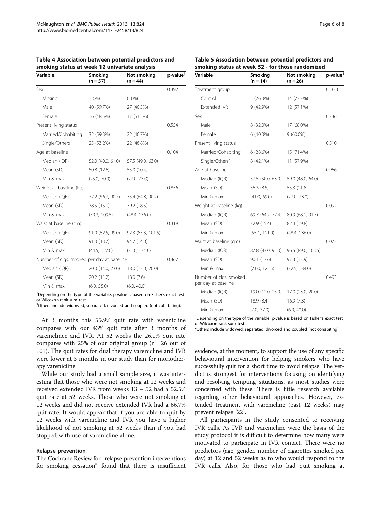| Variable                                   | Smoking<br>$(n = 57)$ | Not smoking<br>$(n = 44)$ | p-value <sup>1</sup> |
|--------------------------------------------|-----------------------|---------------------------|----------------------|
| Sex                                        |                       |                           | 0.392                |
| Missing                                    | 1(.%)                 | 0(.%)                     |                      |
| Male                                       | 40 (59.7%)            | 27 (40.3%)                |                      |
| Female                                     | 16 (48.5%)            | 17 (51.5%)                |                      |
| Present living status                      |                       |                           | 0.554                |
| Married/Cohabiting                         | 32 (59.3%)            | 22 (40.7%)                |                      |
| Single/Others <sup>2</sup>                 | 25 (53.2%)            | 22 (46.8%)                |                      |
| Age at baseline                            |                       |                           | 0.104                |
| Median (IQR)                               | 52.0 (40.0, 61.0)     | 57.5 (49.0, 63.0)         |                      |
| Mean (SD)                                  | 50.8 (12.6)           | 55.0 (10.4)               |                      |
| Min & max                                  | (25.0, 70.0)          | (27.0, 73.0)              |                      |
| Weight at baseline (kg)                    |                       |                           | 0.856                |
| Median (IQR)                               | 77.2 (66.7, 90.7)     | 75.4 (64.8, 90.2)         |                      |
| Mean (SD)                                  | 78.5 (15.0)           | 79.2 (18.5)               |                      |
| Min & max                                  | (50.2, 109.5)         | (48.4, 136.0)             |                      |
| Waist at baseline (cm)                     |                       |                           | 0.319                |
| Median (IQR)                               | 91.0 (82.5, 99.0)     | 92.3 (85.3, 101.5)        |                      |
| Mean (SD)                                  | 91.3 (13.7)           | 94.7 (14.0)               |                      |
| Min & max                                  | (44.5, 127.0)         | (71.0, 134.0)             |                      |
| Number of cigs. smoked per day at baseline |                       |                           | 0.467                |
| Median (IQR)                               | 20.0 (14.0, 23.0)     | 18.0 (13.0, 20.0)         |                      |
| Mean (SD)                                  | 20.2 (11.2)           | 18.0(7.6)                 |                      |
| Min & max                                  | (6.0, 55.0)           | (6.0, 40.0)               |                      |

<span id="page-5-0"></span>Table 4 Association between potential predictors and smoking status at week 12 univariate analysis

<sup>1</sup>Depending on the type of the variable, p-value is based on Fisher's exact test or Wilcoxon rank-sum test.

<sup>2</sup>Others include widowed, separated, divorced and coupled (not cohabiting).

At 3 months this 55.9% quit rate with varenicline compares with our 43% quit rate after 3 months of vareniclince and IVR. At 52 weeks the 26.1% quit rate compares with 25% of our original group  $(n = 26$  out of 101). The quit rates for dual therapy varenicline and IVR were lower at 3 months in our study than for monotherapy varenicline.

While our study had a small sample size, it was interesting that those who were not smoking at 12 weeks and received extended IVR from weeks 13 – 52 had a 52.5% quit rate at 52 weeks. Those who were not smoking at 12 weeks and did not receive extended IVR had a 66.7% quit rate. It would appear that if you are able to quit by 12 weeks with varenicline and IVR you have a higher likelihood of not smoking at 52 weeks than if you had stopped with use of varenicline alone.

#### Relapse prevention

The Cochrane Review for "relapse prevention interventions for smoking cessation" found that there is insufficient

| Table 5 Association between potential predictors and |  |
|------------------------------------------------------|--|
| smoking status at week 52 - for those randomized     |  |

| Variable                                      | Smoking<br>$(n = 14)$ | Not smoking<br>$(n = 26)$ | p-value <sup>1</sup> |
|-----------------------------------------------|-----------------------|---------------------------|----------------------|
| Treatment group                               |                       |                           | 0.333                |
| Control                                       | 5(26.3%)              | 14 (73.7%)                |                      |
| Extended IVR                                  | $9(42.9\%)$           | 12 (57.1%)                |                      |
| Sex                                           |                       |                           | 0.736                |
| Male                                          | 8 (32.0%)             | 17 (68.0%)                |                      |
| Female                                        | 6 (40.0%)             | $9(60.0\%)$               |                      |
| Present living status                         |                       |                           | 0.510                |
| Married/Cohabiting                            | 6(28.6%)              | 15 (71.4%)                |                      |
| Single/Others <sup>2</sup>                    | 8 (42.1%)             | 11 (57.9%)                |                      |
| Age at baseline                               |                       |                           | 0.966                |
| Median (IQR)                                  | 57.5 (50.0, 63.0)     | 59.0 (48.0, 64.0)         |                      |
| Mean (SD)                                     | 56.3 (8.5)            | 55.3 (11.8)               |                      |
| Min & max                                     | (41.0, 69.0)          | (27.0, 73.0)              |                      |
| Weight at baseline (kg)                       |                       |                           | 0.092                |
| Median (IQR)                                  | 69.7 (64.2, 77.4)     | 80.9 (68.1, 91.5)         |                      |
| Mean (SD)                                     | 72.9 (15.4)           | 82.4 (19.8)               |                      |
| Min & max                                     | (55.1, 111.0)         | (48.4, 136.0)             |                      |
| Waist at baseline (cm)                        |                       |                           | 0.072                |
| Median (IQR)                                  | 87.8 (83.0, 95.0)     | 96.5 (89.0, 103.5)        |                      |
| Mean (SD)                                     | 90.1 (13.6)           | 97.3 (13.9)               |                      |
| Min & max                                     | (71.0, 125.5)         | (72.5, 134.0)             |                      |
| Number of cigs. smoked<br>per day at baseline |                       |                           | 0.493                |
| Median (IQR)                                  | 19.0 (12.0, 25.0)     | 17.0 (13.0, 20.0)         |                      |
| Mean (SD)                                     | 18.9 (8.4)            | 16.9(7.3)                 |                      |
| Min & max                                     | (7.0, 37.0)           | (6.0, 40.0)               |                      |

<sup>1</sup>Depending on the type of the variable, p-value is based on Fisher's exact test or Wilcoxon rank-sum test.

<sup>2</sup>Others include widowed, separated, divorced and coupled (not cohabiting).

evidence, at the moment, to support the use of any specific behavioural intervention for helping smokers who have successfully quit for a short time to avoid relapse. The verdict is strongest for interventions focusing on identifying and resolving tempting situations, as most studies were concerned with these. There is little research available regarding other behavioural approaches. However, extended treatment with varenicline (past 12 weeks) may prevent relapse [\[22\]](#page-7-0).

All participants in the study consented to receiving IVR calls. As IVR and varenicline were the basis of the study protocol it is difficult to determine how many were motivated to participate in IVR contact. There were no predictors (age, gender, number of cigarettes smoked per day) at 12 and 52 weeks as to who would respond to the IVR calls. Also, for those who had quit smoking at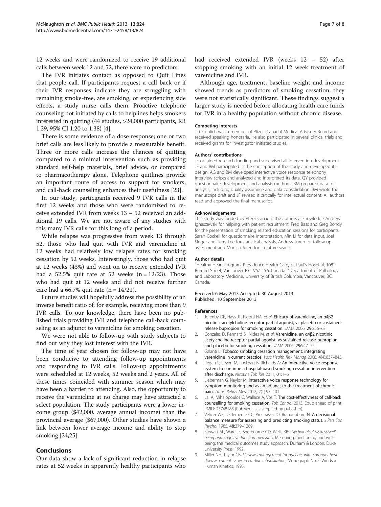<span id="page-6-0"></span>12 weeks and were randomized to receive 19 additional calls between week 12 and 52, there were no predictors.

The IVR initiates contact as opposed to Quit Lines that people call. If participants request a call back or if their IVR responses indicate they are struggling with remaining smoke-free, are smoking, or experiencing side effects, a study nurse calls them. Proactive telephone counseling not initiated by calls to helplines helps smokers interested in quitting (44 studies, >24,000 participants, RR 1.29, 95% CI 1.20 to 1.38) [4].

There is some evidence of a dose response; one or two brief calls are less likely to provide a measurable benefit. Three or more calls increase the chances of quitting compared to a minimal intervention such as providing standard self-help materials, brief advice, or compared to pharmacotherapy alone. Telephone quitlines provide an important route of access to support for smokers, and call-back counseling enhances their usefulness [[23\]](#page-7-0).

In our study, participants received 9 IVR calls in the first 12 weeks and those who were randomized to receive extended IVR from weeks 13 – 52 received an additional 19 calls. We are not aware of any studies with this many IVR calls for this long of a period.

While relapse was progressive from week 13 through 52, those who had quit with IVR and varenicline at 12 weeks had relatively low relapse rates for smoking cessation by 52 weeks. Interestingly, those who had quit at 12 weeks (43%) and went on to receive extended IVR had a 52.5% quit rate at 52 weeks  $(n = 12/23)$ . Those who had quit at 12 weeks and did not receive further care had a 66.7% quit rate  $(n = 14/21)$ .

Future studies will hopefully address the possibility of an inverse benefit ratio of, for example, receiving more than 9 IVR calls. To our knowledge, there have been no published trials providing IVR and telephone call-back counseling as an adjunct to varenicline for smoking cessation.

We were not able to follow-up with study subjects to find out why they lost interest with the IVR.

The time of year chosen for follow-up may not have been conducive to attending follow-up appointments and responding to IVR calls. Follow-up appointments were scheduled at 12 weeks, 52 weeks and 2 years. All of these times coincided with summer season which may have been a barrier to attending. Also, the opportunity to receive the varenicline at no charge may have attracted a select population. The study participants were a lower income group (\$42,000. average annual income) than the provincial average (\$67,000). Other studies have shown a link between lower average income and ability to stop smoking [\[24,25\]](#page-7-0).

# Conclusions

Our data show a lack of significant reduction in relapse rates at 52 weeks in apparently healthy participants who

Although age, treatment, baseline weight and income showed trends as predictors of smoking cessation, they were not statistically significant. These findings suggest a larger study is needed before allocating health care funds for IVR in a healthy population without chronic disease.

#### Competing interests

Jiri Frohlich was a member of Pfizer (Canada) Medical Advisory Board and received speaking honoraria. He also participated in several clinical trials and received grants for investigator initiated studies.

#### Authors' contributions

JF obtained research funding and supervised all intervention development. JF and BM participated in the conception of the study and developed its design. AG and BM developed interactive voice response telephony interview scripts and analyzed and interpreted its data. QY provided questionnaire development and analysis methods. BM prepared data for analysis, including quality assurance and data consolidation. BM wrote the manuscript draft and JF revised it critically for intellectual content. All authors read and approved the final manuscript.

#### Acknowledgements

This study was funded by Pfizer Canada. The authors acknowledge Andrew Ignaszewski for helping with patient recruitment, Fred Bass and Greg Bondy for the presentation of smoking related education sessions for participants, Sarah Cockell for questionnaire interpretation, Min Li for data input, Joel Singer and Terry Lee for statistical analysis, Andrew Juren for follow-up assessment and Monica Juren for literature search.

#### Author details

<sup>1</sup> Healthy Heart Program, Providence Health Care, St. Paul's Hospital, 1081 Burrard Street, Vancouver B.C. V6Z 1Y6, Canada. <sup>2</sup>Department of Pathology and Laboratory Medicine, University of British Columbia, Vancouver, BC, Canada.

#### Received: 6 May 2013 Accepted: 30 August 2013 Published: 10 September 2013

#### References

- 1. Jorenby DE, Hays JT, Rigotti NA, et al: Efficacy of varenicline, an α4β2 nicotinic acetylcholine receptor partial agonist, vs placebo or sustainedrelease bupropion for smoking cessation. JAMA 2006, 296:56–63.
- 2. Gonzales D, Rennard SI, Nides M, et al: Varenicline, an α4β2 nicotinic acetylcholine receptor partial agonist, vs sustained-release bupropion and placebo for smoking cessation. JAMA 2006, 296:47–55.
- 3. Galanti L: Tobacco smoking cessation management: integrating varenicline in current practice. Vasc Health Risk Manag 2008, 4(4):837–845.
- 4. Regan S, Reyen M, Lockhart B, Richards A: An interactive voice response system to continue a hospital-based smoking cessation intervention after discharge. Nicotine Tob Res 2011, 01:1–6.
- 5. Lieberman G, Naylor M: Interactive voice response technology for symptom monitoring and as an adjunct to the treatment of chronic pain. Transl Behav Med 2012, 2(1):93–101.
- 6. Lal A, Mihalopoulos C, Wallace A, Vos T: The cost-effectivness of call-back counselling for smoking cessation. Tob Control 2013. Epub ahead of print, PMID: 23748188 (PubMed – as supplied by publisher).
- 7. Velicer WF, DiClemente CC, Prochaska JO, Brandenburg N: A decisional balance measure for assessing and predicting smoking status. J Pers Soc Psychol 1985, 48:279–1289.
- 8. Stewart AL, Ware JE, Sherbourne CD, Wells KB: Psychological distress/wellbeing and cognitive function measures, Measuring functioning and wellbeing: the medical outcomes study approach. Durham & London: Duke University Press; 1992.
- 9. Miller NH, Taylor CB: Lifestyle management for patients with coronary heart disease: current issues in cardiac rehabilitation, Monograph No 2. Windsor: Human Kinetics; 1995.